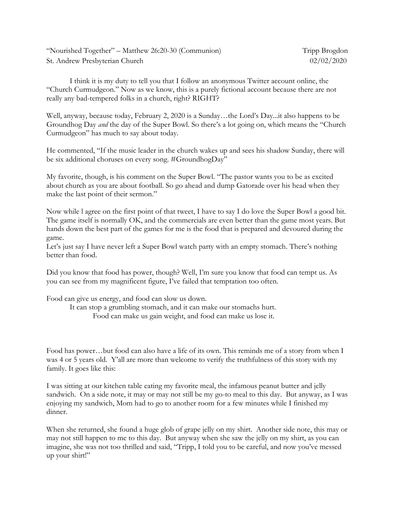"Nourished Together" – Matthew 26:20-30 (Communion) Tripp Brogdon St. Andrew Presbyterian Church 02/02/2020

I think it is my duty to tell you that I follow an anonymous Twitter account online, the "Church Curmudgeon." Now as we know, this is a purely fictional account because there are not really any bad-tempered folks in a church, right? RIGHT?

Well, anyway, because today, February 2, 2020 is a Sunday…the Lord's Day...it also happens to be Groundhog Day *and* the day of the Super Bowl. So there's a lot going on, which means the "Church Curmudgeon" has much to say about today.

He commented, "If the music leader in the church wakes up and sees his shadow Sunday, there will be six additional choruses on every song. #GroundhogDay"

My favorite, though, is his comment on the Super Bowl. "The pastor wants you to be as excited about church as you are about football. So go ahead and dump Gatorade over his head when they make the last point of their sermon."

Now while l agree on the first point of that tweet, I have to say I do love the Super Bowl a good bit. The game itself is normally OK, and the commercials are even better than the game most years. But hands down the best part of the games for me is the food that is prepared and devoured during the game.

Let's just say I have never left a Super Bowl watch party with an empty stomach. There's nothing better than food.

Did you know that food has power, though? Well, I'm sure you know that food can tempt us. As you can see from my magnificent figure, I've failed that temptation too often.

Food can give us energy, and food can slow us down.

It can stop a grumbling stomach, and it can make our stomachs hurt. Food can make us gain weight, and food can make us lose it.

Food has power…but food can also have a life of its own. This reminds me of a story from when I was 4 or 5 years old. Y'all are more than welcome to verify the truthfulness of this story with my family. It goes like this:

I was sitting at our kitchen table eating my favorite meal, the infamous peanut butter and jelly sandwich. On a side note, it may or may not still be my go-to meal to this day. But anyway, as I was enjoying my sandwich, Mom had to go to another room for a few minutes while I finished my dinner.

When she returned, she found a huge glob of grape jelly on my shirt. Another side note, this may or may not still happen to me to this day. But anyway when she saw the jelly on my shirt, as you can imagine, she was not too thrilled and said, "Tripp, I told you to be careful, and now you've messed up your shirt!"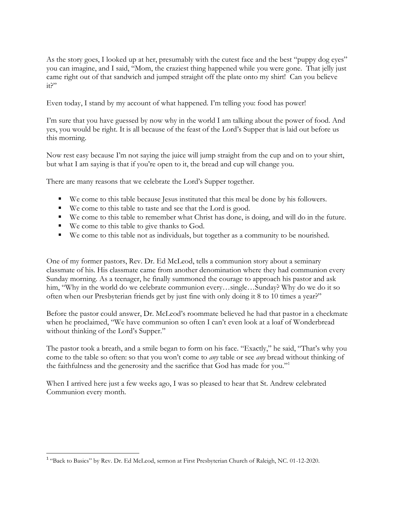As the story goes, I looked up at her, presumably with the cutest face and the best "puppy dog eyes" you can imagine, and I said, "Mom, the craziest thing happened while you were gone. That jelly just came right out of that sandwich and jumped straight off the plate onto my shirt! Can you believe it?"

Even today, I stand by my account of what happened. I'm telling you: food has power!

I'm sure that you have guessed by now why in the world I am talking about the power of food. And yes, you would be right. It is all because of the feast of the Lord's Supper that is laid out before us this morning.

Now rest easy because I'm not saying the juice will jump straight from the cup and on to your shirt, but what I am saying is that if you're open to it, the bread and cup will change you.

There are many reasons that we celebrate the Lord's Supper together.

- We come to this table because Jesus instituted that this meal be done by his followers.
- We come to this table to taste and see that the Lord is good.
- We come to this table to remember what Christ has done, is doing, and will do in the future.
- We come to this table to give thanks to God.

 $\overline{\phantom{a}}$ 

We come to this table not as individuals, but together as a community to be nourished.

One of my former pastors, Rev. Dr. Ed McLeod, tells a communion story about a seminary classmate of his. His classmate came from another denomination where they had communion every Sunday morning. As a teenager, he finally summoned the courage to approach his pastor and ask him, "Why in the world do we celebrate communion every…single…Sunday? Why do we do it so often when our Presbyterian friends get by just fine with only doing it 8 to 10 times a year?"

Before the pastor could answer, Dr. McLeod's roommate believed he had that pastor in a checkmate when he proclaimed, "We have communion so often I can't even look at a loaf of Wonderbread without thinking of the Lord's Supper."

The pastor took a breath, and a smile began to form on his face. "Exactly," he said, "That's why you come to the table so often: so that you won't come to *any* table or see *any* bread without thinking of the faithfulness and the generosity and the sacrifice that God has made for you."<sup>1</sup>

When I arrived here just a few weeks ago, I was so pleased to hear that St. Andrew celebrated Communion every month.

<sup>&</sup>lt;sup>1</sup> "Back to Basics" by Rev. Dr. Ed McLeod, sermon at First Presbyterian Church of Raleigh, NC. 01-12-2020.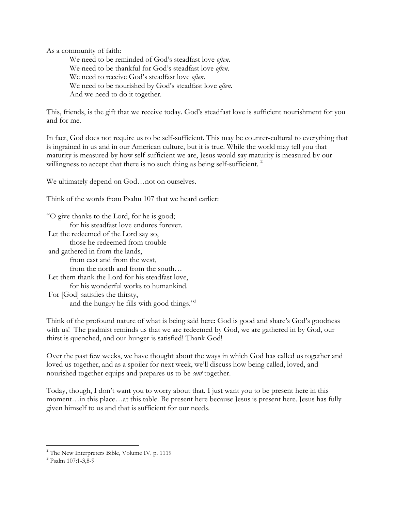As a community of faith:

We need to be reminded of God's steadfast love *often*. We need to be thankful for God's steadfast love *often*. We need to receive God's steadfast love *often*. We need to be nourished by God's steadfast love *often*. And we need to do it together.

This, friends, is the gift that we receive today. God's steadfast love is sufficient nourishment for you and for me.

In fact, God does not require us to be self-sufficient. This may be counter-cultural to everything that is ingrained in us and in our American culture, but it is true. While the world may tell you that maturity is measured by how self-sufficient we are, Jesus would say maturity is measured by our willingness to accept that there is no such thing as being self-sufficient.  $2^2$ 

We ultimately depend on God…not on ourselves.

Think of the words from Psalm 107 that we heard earlier:

"O give thanks to the Lord, for he is good; for his steadfast love endures forever. Let the redeemed of the Lord say so, those he redeemed from trouble and gathered in from the lands, from east and from the west, from the north and from the south… Let them thank the Lord for his steadfast love, for his wonderful works to humankind. For [God] satisfies the thirsty, and the hungry he fills with good things."<sup>3</sup>

Think of the profound nature of what is being said here: God is good and share's God's goodness with us! The psalmist reminds us that we are redeemed by God, we are gathered in by God, our thirst is quenched, and our hunger is satisfied! Thank God!

Over the past few weeks, we have thought about the ways in which God has called us together and loved us together, and as a spoiler for next week, we'll discuss how being called, loved, and nourished together equips and prepares us to be *sent* together.

Today, though, I don't want you to worry about that. I just want you to be present here in this moment…in this place…at this table. Be present here because Jesus is present here. Jesus has fully given himself to us and that is sufficient for our needs.

<sup>&</sup>lt;sup>2</sup> The New Interpreters Bible, Volume IV. p. 1119

<sup>&</sup>lt;sup>3</sup> Psalm 107:1-3,8-9